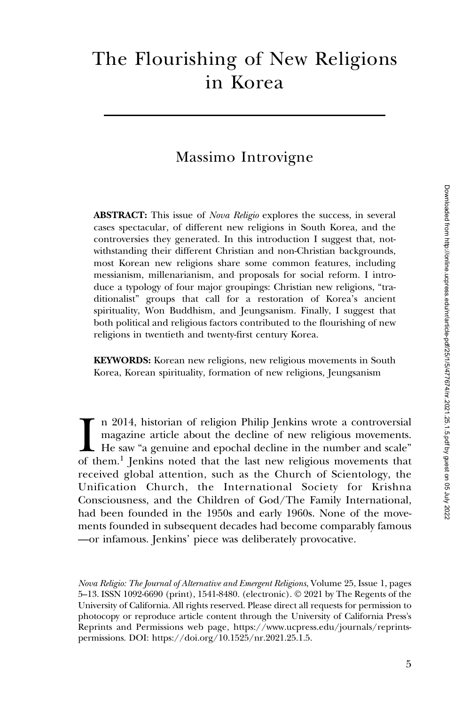# The Flourishing of New Religions in Korea

## Massimo Introvigne

ABSTRACT: This issue of *Nova Religio* explores the success, in several cases spectacular, of different new religions in South Korea, and the controversies they generated. In this introduction I suggest that, notwithstanding their different Christian and non-Christian backgrounds, most Korean new religions share some common features, including messianism, millenarianism, and proposals for social reform. I introduce a typology of four major groupings: Christian new religions, "traditionalist" groups that call for a restoration of Korea's ancient spirituality, Won Buddhism, and Jeungsanism. Finally, I suggest that both political and religious factors contributed to the flourishing of new religions in twentieth and twenty-first century Korea.

KEYWORDS: Korean new religions, new religious movements in South Korea, Korean spirituality, formation of new religions, Jeungsanism

 $\prod_{\text{of }t}$ n 2014, historian of religion Philip Jenkins wrote a controversial magazine article about the decline of new religious movements. He saw "a genuine and epochal decline in the number and scale" of them.<sup>1</sup> Jenkins noted that the last new religious movements that received global attention, such as the Church of Scientology, the Unification Church, the International Society for Krishna Consciousness, and the Children of God/The Family International, had been founded in the 1950s and early 1960s. None of the movements founded in subsequent decades had become comparably famous —or infamous. Jenkins' piece was deliberately provocative.

Nova Religio: The Journal of Alternative and Emergent Religions, Volume 25, Issue 1, pages 5–13. ISSN 1092-6690 (print), 1541-8480. (electronic). © 2021 by The Regents of the University of California. All rights reserved. Please direct all requests for permission to photocopy or reproduce article content through the University of California Press's Reprints and Permissions web page, [https://www.ucpress.edu/journals/reprints](https://www.ucpress.edu/journals/reprints-permissions)[permissions.](https://www.ucpress.edu/journals/reprints-permissions) [DOI: https://doi.org/10.1525/nr.2021.25.1.5.](https://doi.org/10.1525/nr.2021.25.1.5)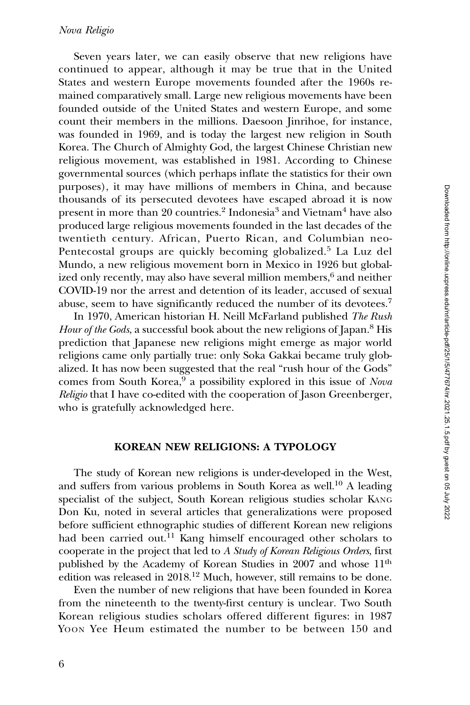#### Nova Religio

Seven years later, we can easily observe that new religions have continued to appear, although it may be true that in the United States and western Europe movements founded after the 1960s remained comparatively small. Large new religious movements have been founded outside of the United States and western Europe, and some count their members in the millions. Daesoon Jinrihoe, for instance, was founded in 1969, and is today the largest new religion in South Korea. The Church of Almighty God, the largest Chinese Christian new religious movement, was established in 1981. According to Chinese governmental sources (which perhaps inflate the statistics for their own purposes), it may have millions of members in China, and because thousands of its persecuted devotees have escaped abroad it is now present in more than 20 countries.<sup>2</sup> Indonesia<sup>3</sup> and Vietnam<sup>4</sup> have also produced large religious movements founded in the last decades of the twentieth century. African, Puerto Rican, and Columbian neo-Pentecostal groups are quickly becoming globalized.<sup>5</sup> La Luz del Mundo, a new religious movement born in Mexico in 1926 but globalized only recently, may also have several million members,<sup>6</sup> and neither COVID-19 nor the arrest and detention of its leader, accused of sexual abuse, seem to have significantly reduced the number of its devotees.7

In 1970, American historian H. Neill McFarland published The Rush Hour of the Gods, a successful book about the new religions of Japan.<sup>8</sup> His prediction that Japanese new religions might emerge as major world religions came only partially true: only Soka Gakkai became truly globalized. It has now been suggested that the real "rush hour of the Gods" comes from South Korea,<sup>9</sup> a possibility explored in this issue of Nova Religio that I have co-edited with the cooperation of Jason Greenberger, who is gratefully acknowledged here.

#### KOREAN NEW RELIGIONS: A TYPOLOGY

The study of Korean new religions is under-developed in the West, and suffers from various problems in South Korea as well.<sup>10</sup> A leading specialist of the subject, South Korean religious studies scholar KANG Don Ku, noted in several articles that generalizations were proposed before sufficient ethnographic studies of different Korean new religions had been carried out.<sup>11</sup> Kang himself encouraged other scholars to cooperate in the project that led to A Study of Korean Religious Orders, first published by the Academy of Korean Studies in 2007 and whose 11<sup>th</sup> edition was released in 2018.12 Much, however, still remains to be done.

Even the number of new religions that have been founded in Korea from the nineteenth to the twenty-first century is unclear. Two South Korean religious studies scholars offered different figures: in 1987 YOON Yee Heum estimated the number to be between 150 and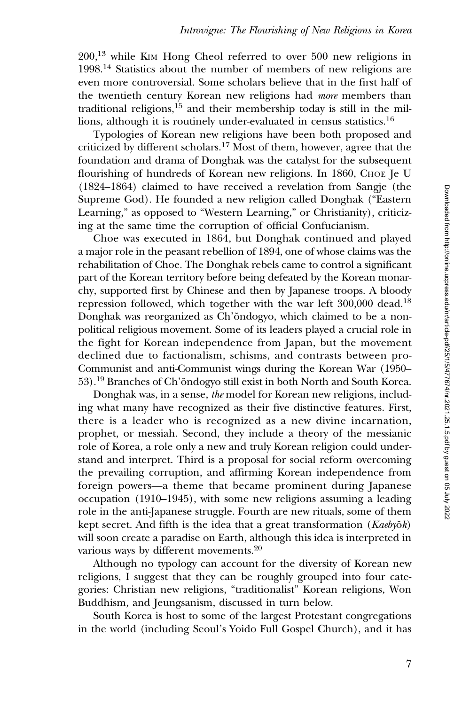200,<sup>13</sup> while KIM Hong Cheol referred to over 500 new religions in 1998.<sup>14</sup> Statistics about the number of members of new religions are even more controversial. Some scholars believe that in the first half of the twentieth century Korean new religions had more members than traditional religions,<sup>15</sup> and their membership today is still in the millions, although it is routinely under-evaluated in census statistics.<sup>16</sup>

Typologies of Korean new religions have been both proposed and criticized by different scholars.<sup>17</sup> Most of them, however, agree that the foundation and drama of Donghak was the catalyst for the subsequent flourishing of hundreds of Korean new religions. In 1860, CHOE Je U (1824–1864) claimed to have received a revelation from Sangje (the Supreme God). He founded a new religion called Donghak ("Eastern Learning," as opposed to "Western Learning," or Christianity), criticizing at the same time the corruption of official Confucianism.

Choe was executed in 1864, but Donghak continued and played a major role in the peasant rebellion of 1894, one of whose claims was the rehabilitation of Choe. The Donghak rebels came to control a significant part of the Korean territory before being defeated by the Korean monarchy, supported first by Chinese and then by Japanese troops. A bloody repression followed, which together with the war left 300,000 dead.<sup>18</sup> Donghak was reorganized as Ch'ŏndogyo, which claimed to be a nonpolitical religious movement. Some of its leaders played a crucial role in the fight for Korean independence from Japan, but the movement declined due to factionalism, schisms, and contrasts between pro-Communist and anti-Communist wings during the Korean War (1950– 53).19 Branches of Ch'ŏndogyo still exist in both North and South Korea.

Donghak was, in a sense, the model for Korean new religions, including what many have recognized as their five distinctive features. First, there is a leader who is recognized as a new divine incarnation, prophet, or messiah. Second, they include a theory of the messianic role of Korea, a role only a new and truly Korean religion could understand and interpret. Third is a proposal for social reform overcoming the prevailing corruption, and affirming Korean independence from foreign powers—a theme that became prominent during Japanese occupation (1910–1945), with some new religions assuming a leading role in the anti-Japanese struggle. Fourth are new rituals, some of them kept secret. And fifth is the idea that a great transformation (Kaebyŏk) will soon create a paradise on Earth, although this idea is interpreted in various ways by different movements.<sup>20</sup>

Although no typology can account for the diversity of Korean new religions, I suggest that they can be roughly grouped into four categories: Christian new religions, "traditionalist" Korean religions, Won Buddhism, and Jeungsanism, discussed in turn below.

South Korea is host to some of the largest Protestant congregations in the world (including Seoul's Yoido Full Gospel Church), and it has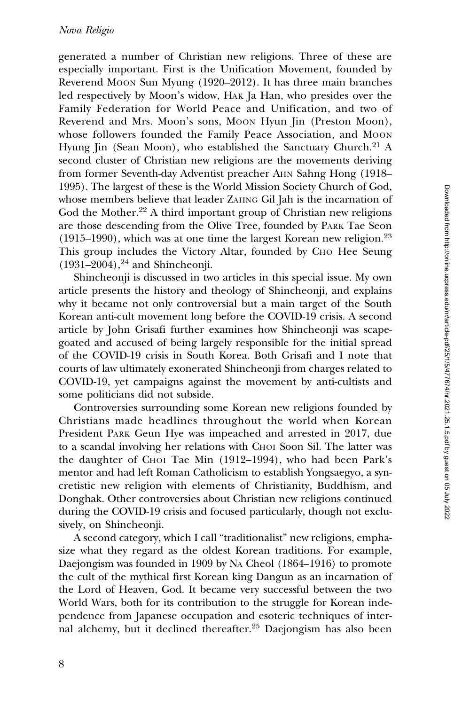generated a number of Christian new religions. Three of these are especially important. First is the Unification Movement, founded by Reverend MOON Sun Myung (1920–2012). It has three main branches led respectively by Moon's widow, HAK Ja Han, who presides over the Family Federation for World Peace and Unification, and two of Reverend and Mrs. Moon's sons, MOON Hyun Jin (Preston Moon), whose followers founded the Family Peace Association, and MOON Hyung Jin (Sean Moon), who established the Sanctuary Church.<sup>21</sup> A second cluster of Christian new religions are the movements deriving from former Seventh-day Adventist preacher AHN Sahng Hong (1918– 1995). The largest of these is the World Mission Society Church of God, whose members believe that leader ZAHNG Gil Jah is the incarnation of God the Mother.<sup>22</sup> A third important group of Christian new religions are those descending from the Olive Tree, founded by PARK Tae Seon  $(1915–1990)$ , which was at one time the largest Korean new religion.<sup>23</sup> This group includes the Victory Altar, founded by CHO Hee Seung  $(1931–2004),<sup>24</sup>$  and Shincheonji.

Shincheonji is discussed in two articles in this special issue. My own article presents the history and theology of Shincheonji, and explains why it became not only controversial but a main target of the South Korean anti-cult movement long before the COVID-19 crisis. A second article by John Grisafi further examines how Shincheonji was scapegoated and accused of being largely responsible for the initial spread of the COVID-19 crisis in South Korea. Both Grisafi and I note that courts of law ultimately exonerated Shincheonji from charges related to COVID-19, yet campaigns against the movement by anti-cultists and some politicians did not subside.

Controversies surrounding some Korean new religions founded by Christians made headlines throughout the world when Korean President PARK Geun Hye was impeached and arrested in 2017, due to a scandal involving her relations with CHOI Soon Sil. The latter was the daughter of CHOI Tae Min (1912–1994), who had been Park's mentor and had left Roman Catholicism to establish Yongsaegyo, a syncretistic new religion with elements of Christianity, Buddhism, and Donghak. Other controversies about Christian new religions continued during the COVID-19 crisis and focused particularly, though not exclusively, on Shincheonji.

A second category, which I call "traditionalist" new religions, emphasize what they regard as the oldest Korean traditions. For example, Daejongism was founded in 1909 by NA Cheol (1864–1916) to promote the cult of the mythical first Korean king Dangun as an incarnation of the Lord of Heaven, God. It became very successful between the two World Wars, both for its contribution to the struggle for Korean independence from Japanese occupation and esoteric techniques of internal alchemy, but it declined thereafter.<sup>25</sup> Daejongism has also been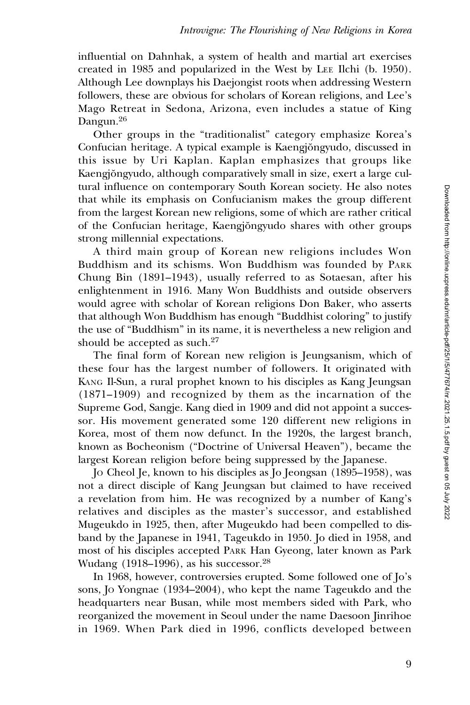influential on Dahnhak, a system of health and martial art exercises created in 1985 and popularized in the West by LEE Ilchi (b. 1950). Although Lee downplays his Daejongist roots when addressing Western followers, these are obvious for scholars of Korean religions, and Lee's Mago Retreat in Sedona, Arizona, even includes a statue of King Dangun.<sup>26</sup>

Other groups in the "traditionalist" category emphasize Korea's Confucian heritage. A typical example is Kaengjŏngyudo, discussed in this issue by Uri Kaplan. Kaplan emphasizes that groups like Kaengjŏngyudo, although comparatively small in size, exert a large cultural influence on contemporary South Korean society. He also notes that while its emphasis on Confucianism makes the group different from the largest Korean new religions, some of which are rather critical of the Confucian heritage, Kaengjŏngyudo shares with other groups strong millennial expectations.

A third main group of Korean new religions includes Won Buddhism and its schisms. Won Buddhism was founded by PARK Chung Bin (1891–1943), usually referred to as Sotaesan, after his enlightenment in 1916. Many Won Buddhists and outside observers would agree with scholar of Korean religions Don Baker, who asserts that although Won Buddhism has enough "Buddhist coloring" to justify the use of "Buddhism" in its name, it is nevertheless a new religion and should be accepted as such. $27$ 

The final form of Korean new religion is Jeungsanism, which of these four has the largest number of followers. It originated with KANG Il-Sun, a rural prophet known to his disciples as Kang Jeungsan (1871–1909) and recognized by them as the incarnation of the Supreme God, Sangje. Kang died in 1909 and did not appoint a successor. His movement generated some 120 different new religions in Korea, most of them now defunct. In the 1920s, the largest branch, known as Bocheonism ("Doctrine of Universal Heaven"), became the largest Korean religion before being suppressed by the Japanese.

JO Cheol Je, known to his disciples as Jo Jeongsan (1895–1958), was not a direct disciple of Kang Jeungsan but claimed to have received a revelation from him. He was recognized by a number of Kang's relatives and disciples as the master's successor, and established Mugeukdo in 1925, then, after Mugeukdo had been compelled to disband by the Japanese in 1941, Tageukdo in 1950. Jo died in 1958, and most of his disciples accepted PARK Han Gyeong, later known as Park Wudang  $(1918–1996)$ , as his successor.<sup>28</sup>

In 1968, however, controversies erupted. Some followed one of Jo's sons, JO Yongnae (1934–2004), who kept the name Tageukdo and the headquarters near Busan, while most members sided with Park, who reorganized the movement in Seoul under the name Daesoon Jinrihoe in 1969. When Park died in 1996, conflicts developed between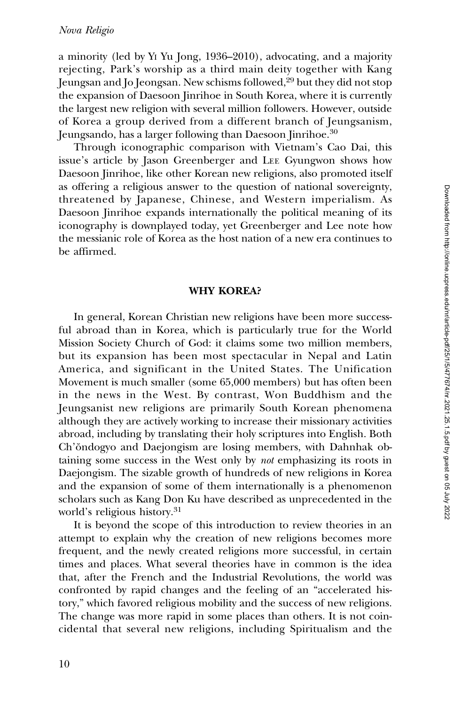a minority (led by YI Yu Jong, 1936–2010), advocating, and a majority rejecting, Park's worship as a third main deity together with Kang Jeungsan and Jo Jeongsan. New schisms followed,<sup>29</sup> but they did not stop the expansion of Daesoon Jinrihoe in South Korea, where it is currently the largest new religion with several million followers. However, outside of Korea a group derived from a different branch of Jeungsanism, Jeungsando, has a larger following than Daesoon Jinrihoe.<sup>30</sup>

Through iconographic comparison with Vietnam's Cao Dai, this issue's article by Jason Greenberger and LEE Gyungwon shows how Daesoon Jinrihoe, like other Korean new religions, also promoted itself as offering a religious answer to the question of national sovereignty, threatened by Japanese, Chinese, and Western imperialism. As Daesoon Jinrihoe expands internationally the political meaning of its iconography is downplayed today, yet Greenberger and Lee note how the messianic role of Korea as the host nation of a new era continues to be affirmed.

#### WHY KOREA?

In general, Korean Christian new religions have been more successful abroad than in Korea, which is particularly true for the World Mission Society Church of God: it claims some two million members, but its expansion has been most spectacular in Nepal and Latin America, and significant in the United States. The Unification Movement is much smaller (some 65,000 members) but has often been in the news in the West. By contrast, Won Buddhism and the Jeungsanist new religions are primarily South Korean phenomena although they are actively working to increase their missionary activities abroad, including by translating their holy scriptures into English. Both Ch'ŏndogyo and Daejongism are losing members, with Dahnhak obtaining some success in the West only by not emphasizing its roots in Daejongism. The sizable growth of hundreds of new religions in Korea and the expansion of some of them internationally is a phenomenon scholars such as Kang Don Ku have described as unprecedented in the world's religious history.<sup>31</sup>

It is beyond the scope of this introduction to review theories in an attempt to explain why the creation of new religions becomes more frequent, and the newly created religions more successful, in certain times and places. What several theories have in common is the idea that, after the French and the Industrial Revolutions, the world was confronted by rapid changes and the feeling of an "accelerated history," which favored religious mobility and the success of new religions. The change was more rapid in some places than others. It is not coincidental that several new religions, including Spiritualism and the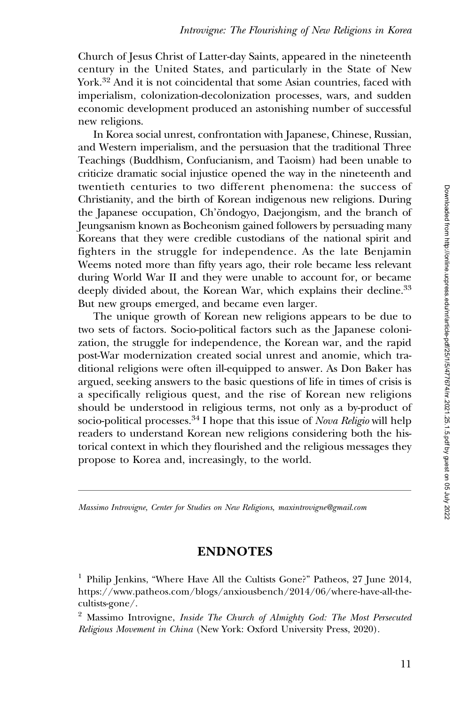Church of Jesus Christ of Latter-day Saints, appeared in the nineteenth century in the United States, and particularly in the State of New York.<sup>32</sup> And it is not coincidental that some Asian countries, faced with imperialism, colonization-decolonization processes, wars, and sudden economic development produced an astonishing number of successful new religions.

In Korea social unrest, confrontation with Japanese, Chinese, Russian, and Western imperialism, and the persuasion that the traditional Three Teachings (Buddhism, Confucianism, and Taoism) had been unable to criticize dramatic social injustice opened the way in the nineteenth and twentieth centuries to two different phenomena: the success of Christianity, and the birth of Korean indigenous new religions. During the Japanese occupation, Ch'ŏndogyo, Daejongism, and the branch of Jeungsanism known as Bocheonism gained followers by persuading many Koreans that they were credible custodians of the national spirit and fighters in the struggle for independence. As the late Benjamin Weems noted more than fifty years ago, their role became less relevant during World War II and they were unable to account for, or became deeply divided about, the Korean War, which explains their decline.<sup>33</sup> But new groups emerged, and became even larger.

The unique growth of Korean new religions appears to be due to two sets of factors. Socio-political factors such as the Japanese colonization, the struggle for independence, the Korean war, and the rapid post-War modernization created social unrest and anomie, which traditional religions were often ill-equipped to answer. As Don Baker has argued, seeking answers to the basic questions of life in times of crisis is a specifically religious quest, and the rise of Korean new religions should be understood in religious terms, not only as a by-product of socio-political processes.<sup>34</sup> I hope that this issue of *Nova Religio* will help readers to understand Korean new religions considering both the historical context in which they flourished and the religious messages they propose to Korea and, increasingly, to the world.

Massimo Introvigne, Center for Studies on New Religions, maxintrovigne@gmail.com

### ENDNOTES

<sup>&</sup>lt;sup>1</sup> Philip Jenkins, "Where Have All the Cultists Gone?" Patheos, 27 June 2014, [https://www.patheos.com/blogs/anxiousbench/2014/06/where-have-all-the](https://www.patheos.com/blogs/anxiousbench/2014/06/where-have-all-the-cultists-gone/)[cultists-gone/](https://www.patheos.com/blogs/anxiousbench/2014/06/where-have-all-the-cultists-gone/).

<sup>&</sup>lt;sup>2</sup> Massimo Introvigne, Inside The Church of Almighty God: The Most Persecuted Religious Movement in China (New York: Oxford University Press, 2020).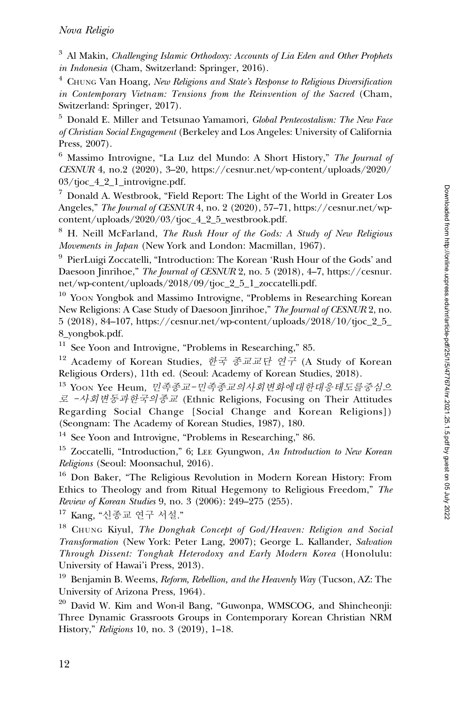$3$  Al Makin, *Challenging Islamic Orthodoxy: Accounts of Lia Eden and Other Prophets* in Indonesia (Cham, Switzerland: Springer, 2016).

 $4$  CHUNG Van Hoang, New Religions and State's Response to Religious Diversification in Contemporary Vietnam: Tensions from the Reinvention of the Sacred (Cham, Switzerland: Springer, 2017).

<sup>5</sup> Donald E. Miller and Tetsunao Yamamori, Global Pentecostalism: The New Face of Christian Social Engagement (Berkeley and Los Angeles: University of California Press, 2007).

<sup>6</sup> Massimo Introvigne, "La Luz del Mundo: A Short History," The Journal of CESNUR 4, no.2 (2020), 3–20, [https://cesnur.net/wp-content/uploads/2020/](https://cesnur.net/wp-content/uploads/2020/03/tjoc_4_2_1_introvigne.pdf) [03/tjoc\\_4\\_2\\_1\\_introvigne.pdf.](https://cesnur.net/wp-content/uploads/2020/03/tjoc_4_2_1_introvigne.pdf)

 $7$  Donald A. Westbrook, "Field Report: The Light of the World in Greater Los Angeles," The Journal of CESNUR 4, no. 2 (2020), 57–71, [https://cesnur.net/wp](https://cesnur.net/wp-content/uploads/2020/03/tjoc_4_2_5_westbrook.pdf)[content/uploads/2020/03/tjoc\\_4\\_2\\_5\\_westbrook.pdf.](https://cesnur.net/wp-content/uploads/2020/03/tjoc_4_2_5_westbrook.pdf)

<sup>8</sup> H. Neill McFarland, *The Rush Hour of the Gods: A Study of New Religious* Movements in Japan (New York and London: Macmillan, 1967).

<sup>9</sup> PierLuigi Zoccatelli, "Introduction: The Korean 'Rush Hour of the Gods' and Daesoon Jinrihoe," The Journal of CESNUR 2, no. 5 (2018), 4–7, [https://cesnur.](https://cesnur.net/wp-content/uploads/2018/09/tjoc_2_5_1_zoccatelli.pdf) [net/wp-content/uploads/2018/09/tjoc\\_2\\_5\\_1\\_zoccatelli.pdf](https://cesnur.net/wp-content/uploads/2018/09/tjoc_2_5_1_zoccatelli.pdf).

<sup>10</sup> Yoon Yongbok and Massimo Introvigne, "Problems in Researching Korean New Religions: A Case Study of Daesoon Jinrihoe," The Journal of CESNUR 2, no. 5 (2018), 84–107, [https://cesnur.net/wp-content/uploads/2018/10/tjoc\\_2\\_5\\_](https://cesnur.net/wp-content/uploads/2018/10/tjoc_2_5_8_yongbok.pdf) [8\\_yongbok.pdf](https://cesnur.net/wp-content/uploads/2018/10/tjoc_2_5_8_yongbok.pdf).

<sup>11</sup> See Yoon and Introvigne, "Problems in Researching," 85.

 $12$  Academy of Korean Studies, 한국 종교교단 연구 (A Study of Korean Religious Orders), 11th ed. (Seoul: Academy of Korean Studies, 2018).

13 Yoon Yee Heum, 민족종교-민족종교의사회변화에대한대응태도를중심으 로 -사회변동과한국의종<sup>교</sup> (Ethnic Religions, Focusing on Their Attitudes Regarding Social Change [Social Change and Korean Religions]) (Seongnam: The Academy of Korean Studies, 1987), 180.

<sup>14</sup> See Yoon and Introvigne, "Problems in Researching," 86.

<sup>15</sup> Zoccatelli, "Introduction," 6; LEE Gyungwon, An Introduction to New Korean Religions (Seoul: Moonsachul, 2016).

<sup>16</sup> Don Baker, "The Religious Revolution in Modern Korean History: From Ethics to Theology and from Ritual Hegemony to Religious Freedom," The Review of Korean Studies 9, no. 3 (2006): 249–275 (255).

<sup>17</sup> Kang, "신종교 연구 서설."

 $18$  CHUNG Kiyul, The Donghak Concept of God/Heaven: Religion and Social Transformation (New York: Peter Lang, 2007); George L. Kallander, Salvation Through Dissent: Tonghak Heterodoxy and Early Modern Korea (Honolulu: University of Hawai'i Press, 2013).

<sup>19</sup> Benjamin B. Weems, *Reform, Rebellion, and the Heavenly Way* (Tucson, AZ: The University of Arizona Press, 1964).

<sup>20</sup> David W. Kim and Won-il Bang, "Guwonpa, WMSCOG, and Shincheonji: Three Dynamic Grassroots Groups in Contemporary Korean Christian NRM History," Religions 10, no. 3 (2019), 1–18.